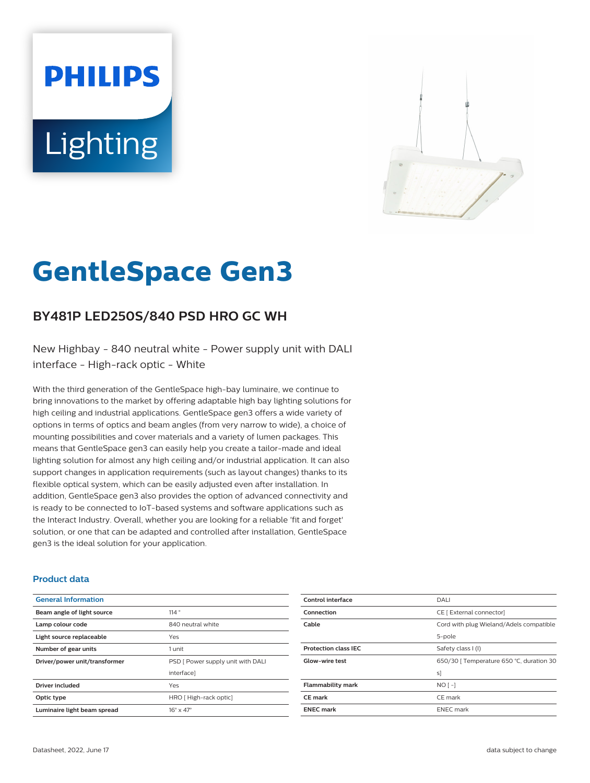# **PHILIPS Lighting**



# **GentleSpace Gen3**

# **BY481P LED250S/840 PSD HRO GC WH**

New Highbay - 840 neutral white - Power supply unit with DALI interface - High-rack optic - White

With the third generation of the GentleSpace high-bay luminaire, we continue to bring innovations to the market by offering adaptable high bay lighting solutions for high ceiling and industrial applications. GentleSpace gen3 offers a wide variety of options in terms of optics and beam angles (from very narrow to wide), a choice of mounting possibilities and cover materials and a variety of lumen packages. This means that GentleSpace gen3 can easily help you create a tailor-made and ideal lighting solution for almost any high ceiling and/or industrial application. It can also support changes in application requirements (such as layout changes) thanks to its flexible optical system, which can be easily adjusted even after installation. In addition, GentleSpace gen3 also provides the option of advanced connectivity and is ready to be connected to IoT-based systems and software applications such as the Interact Industry. Overall, whether you are looking for a reliable 'fit and forget' solution, or one that can be adapted and controlled after installation, GentleSpace gen3 is the ideal solution for your application.

#### **Product data**

| <b>General Information</b>    |                                   |
|-------------------------------|-----------------------------------|
| Beam angle of light source    | 114°                              |
| Lamp colour code              | 840 neutral white                 |
| Light source replaceable      | Yes                               |
| Number of gear units          | 1 unit                            |
| Driver/power unit/transformer | PSD [ Power supply unit with DALI |
|                               | interface]                        |
| <b>Driver included</b>        | Yes                               |
| Optic type                    | HRO [High-rack optic]             |
| Luminaire light beam spread   | $16^\circ \times 47^\circ$        |

| Control interface           | DALI                                     |
|-----------------------------|------------------------------------------|
| Connection                  | CE [ External connector]                 |
| Cable                       | Cord with plug Wieland/Adels compatible  |
|                             | 5-pole                                   |
| <b>Protection class IEC</b> | Safety class I (I)                       |
| <b>Glow-wire test</b>       | 650/30   Temperature 650 °C, duration 30 |
|                             | s1                                       |
| <b>Flammability mark</b>    | $NO$ [-]                                 |
| <b>CE</b> mark              | CE mark                                  |
| <b>ENEC mark</b>            | <b>ENEC</b> mark                         |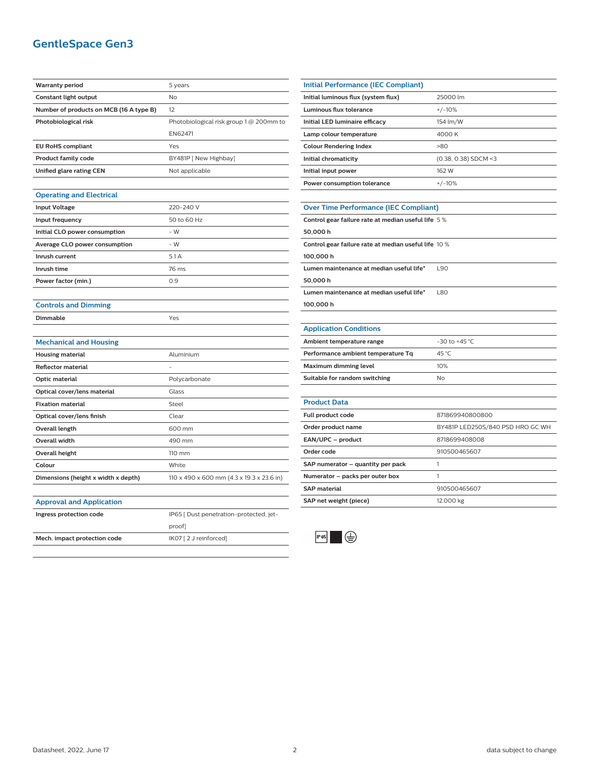## **GentleSpace Gen3**

| <b>Warranty period</b>                  | 5 years                                   |
|-----------------------------------------|-------------------------------------------|
| Constant light output                   | No                                        |
| Number of products on MCB (16 A type B) | 12                                        |
| Photobiological risk                    | Photobiological risk group 1 @ 200mm to   |
|                                         | EN62471                                   |
| <b>EU RoHS compliant</b>                | Yes                                       |
| Product family code                     | BY481P [ New Highbay]                     |
| Unified glare rating CEN                | Not applicable                            |
|                                         |                                           |
| <b>Operating and Electrical</b>         |                                           |
| <b>Input Voltage</b>                    | 220-240 V                                 |
| Input frequency                         | 50 to 60 Hz                               |
| Initial CLO power consumption           | $-W$                                      |
| Average CLO power consumption           | - W                                       |
| Inrush current                          | 5.1 A                                     |
| Inrush time                             | 76 ms                                     |
| Power factor (min.)                     | 0.9                                       |
|                                         |                                           |
| <b>Controls and Dimming</b>             |                                           |
| Dimmable                                | Yes                                       |
|                                         |                                           |
| <b>Mechanical and Housing</b>           |                                           |
| <b>Housing material</b>                 | Aluminium                                 |
| <b>Reflector material</b>               |                                           |
| Optic material                          | Polycarbonate                             |
| Optical cover/lens material             | Glass                                     |
| <b>Fixation material</b>                | Steel                                     |
| Optical cover/lens finish               | Clear                                     |
| <b>Overall length</b>                   | 600 mm                                    |
| Overall width                           | 490 mm                                    |
| <b>Overall height</b>                   | 110 mm                                    |
| Colour                                  | White                                     |
| Dimensions (height x width x depth)     | 110 x 490 x 600 mm (4.3 x 19.3 x 23.6 in) |
|                                         |                                           |
| <b>Approval and Application</b>         |                                           |
| Ingress protection code                 | IP65 [ Dust penetration-protected, jet-   |
|                                         | proof]                                    |
| Mech. impact protection code            | IK07 [2 J reinforced]                     |

| <b>Initial Performance (IEC Compliant)</b>   |                        |  |
|----------------------------------------------|------------------------|--|
| Initial luminous flux (system flux)          | 25000 lm               |  |
| Luminous flux tolerance                      | $+/-10%$               |  |
| Initial LED luminaire efficacy               | 154 lm/W               |  |
| Lamp colour temperature                      | 4000 K                 |  |
| <b>Colour Rendering Index</b>                | >80                    |  |
| Initial chromaticity                         | $(0.38, 0.38)$ SDCM <3 |  |
| Initial input power                          | 162 W                  |  |
| Power consumption tolerance                  | $+/-10%$               |  |
|                                              |                        |  |
| <b>Over Time Performance (IEC Compliant)</b> |                        |  |

| Control gear failure rate at median useful life 5%   |            |  |
|------------------------------------------------------|------------|--|
| 50,000 h                                             |            |  |
| Control gear failure rate at median useful life 10 % |            |  |
| 100,000 h                                            |            |  |
| Lumen maintenance at median useful life*             | 190        |  |
| 50,000 h                                             |            |  |
| Lumen maintenance at median useful life*             | <b>L80</b> |  |
| 100,000 h                                            |            |  |

#### **Application Conditions**

| Ambient temperature range          | $-30$ to $+45$ °C |
|------------------------------------|-------------------|
| Performance ambient temperature Tq | 45 °C             |
| Maximum dimming level              | 10%               |
| Suitable for random switching      | No                |

| <b>Product Data</b>               |                                  |
|-----------------------------------|----------------------------------|
| <b>Full product code</b>          | 871869940800800                  |
| Order product name                | BY481P LED250S/840 PSD HRO GC WH |
| EAN/UPC - product                 | 8718699408008                    |
| Order code                        | 910500465607                     |
| SAP numerator - quantity per pack |                                  |
| Numerator - packs per outer box   |                                  |
| <b>SAP</b> material               | 910500465607                     |
| SAP net weight (piece)            | 12.000 kg                        |
|                                   |                                  |



 $\sim$